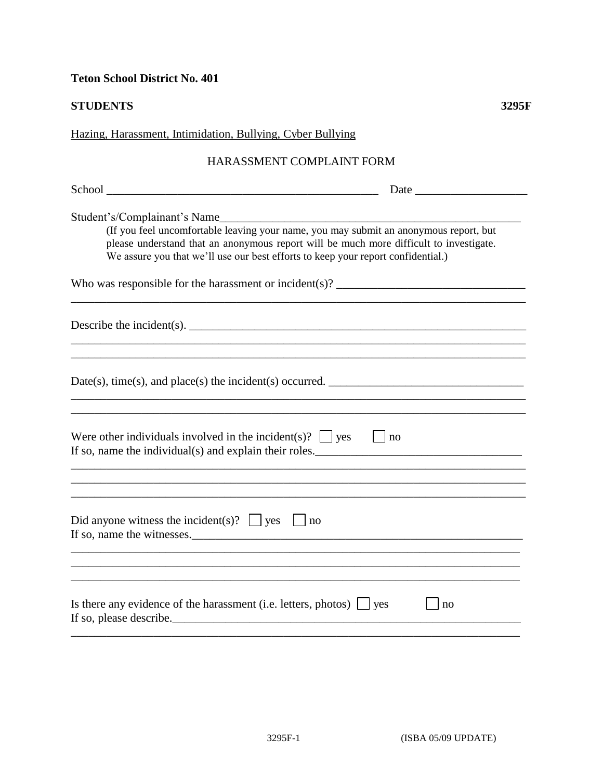**Teton School District No. 401** 

**STUDENTS 3295F**

| Hazing, Harassment, Intimidation, Bullying, Cyber Bullying                                                                                                                                                                                                          |
|---------------------------------------------------------------------------------------------------------------------------------------------------------------------------------------------------------------------------------------------------------------------|
| HARASSMENT COMPLAINT FORM                                                                                                                                                                                                                                           |
|                                                                                                                                                                                                                                                                     |
| (If you feel uncomfortable leaving your name, you may submit an anonymous report, but<br>please understand that an anonymous report will be much more difficult to investigate.<br>We assure you that we'll use our best efforts to keep your report confidential.) |
| Who was responsible for the harassment or incident(s)? $\frac{1}{2}$                                                                                                                                                                                                |
| Describe the incident(s). $\qquad \qquad$<br>,我们也不会有什么。""我们的人,我们也不会有什么?""我们的人,我们也不会有什么?""我们的人,我们也不会有什么?""我们的人,我们也不会有什么?""我们的人                                                                                                                                       |
|                                                                                                                                                                                                                                                                     |
| Were other individuals involved in the incident(s)? $\Box$ yes $\Box$ no<br>If so, name the individual(s) and explain their roles.<br>,我们也不会有什么。""我们的人,我们也不会有什么?""我们的人,我们也不会有什么?""我们的人,我们也不会有什么?""我们的人,我们也不会有什么?""我们的人                                              |
| Did anyone witness the incident(s)? $\Box$ yes $\Box$ no<br>If so, name the witnesses.                                                                                                                                                                              |
| Is there any evidence of the harassment (i.e. letters, photos) $\Box$ yes<br>no<br>If so, please describe.                                                                                                                                                          |